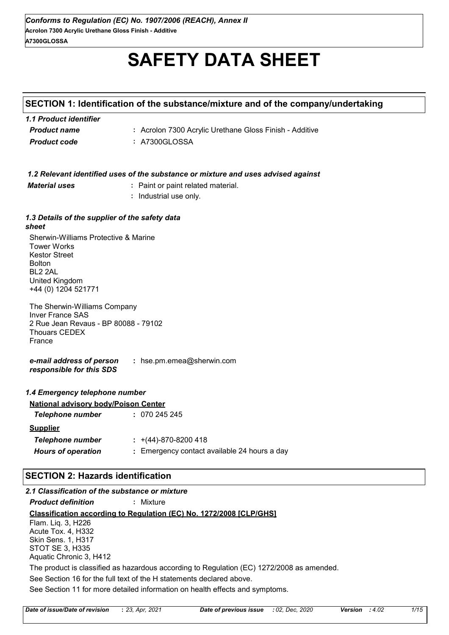# **SAFETY DATA SHEET**

# **SECTION 1: Identification of the substance/mixture and of the company/undertaking**

| 1.1 Product identifier |                                                         |
|------------------------|---------------------------------------------------------|
| <b>Product name</b>    | : Acrolon 7300 Acrylic Urethane Gloss Finish - Additive |
| <b>Product code</b>    | : A7300GLOSSA                                           |

#### *1.2 Relevant identified uses of the substance or mixture and uses advised against*

*Material uses* **:** Paint or paint related material.

**:** Industrial use only.

#### *1.3 Details of the supplier of the safety data sheet*

Sherwin-Williams Protective & Marine Tower Works Kestor Street Bolton BL2 2AL United Kingdom +44 (0) 1204 521771

The Sherwin-Williams Company Inver France SAS 2 Rue Jean Revaus - BP 80088 - 79102 Thouars CEDEX France

*e-mail address of person responsible for this SDS* **:** hse.pm.emea@sherwin.com

| 1.4 Emergency telephone number              |                                              |
|---------------------------------------------|----------------------------------------------|
| <b>National advisory body/Poison Center</b> |                                              |
| <b>Telephone number</b>                     | : 070245245                                  |
| <b>Supplier</b>                             |                                              |
| <b>Telephone number</b>                     | $\div$ +(44)-870-8200 418                    |
| <b>Hours of operation</b>                   | : Emergency contact available 24 hours a day |
|                                             |                                              |

# **SECTION 2: Hazards identification**

| 2.1 Classification of the substance or mixture |                                                                                           |
|------------------------------------------------|-------------------------------------------------------------------------------------------|
| <b>Product definition</b>                      | : Mixture                                                                                 |
|                                                | <b>Classification according to Regulation (EC) No. 1272/2008 [CLP/GHS]</b>                |
| Flam. Lig. 3, H226                             |                                                                                           |
| Acute Tox. 4, H332                             |                                                                                           |
| <b>Skin Sens. 1, H317</b>                      |                                                                                           |
| STOT SE 3, H335                                |                                                                                           |
| Aquatic Chronic 3, H412                        |                                                                                           |
|                                                | The product is classified as hazardous according to Regulation (EC) 1272/2008 as amended. |
|                                                | See Section 16 for the full text of the H statements declared above.                      |
|                                                | See Section 11 for more detailed information on health effects and symptoms.              |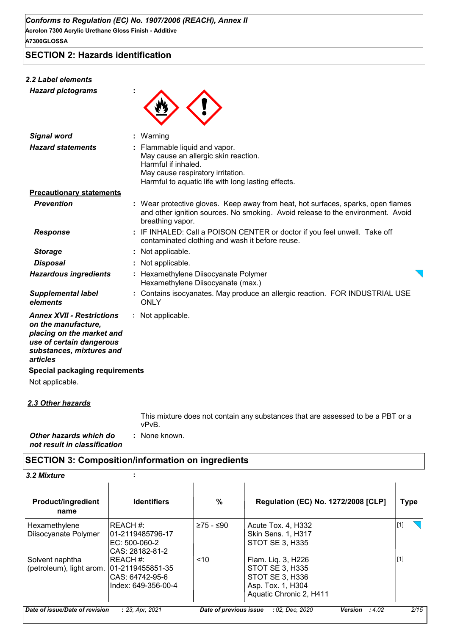**SECTION 2: Hazards identification**

# *2.2 Label elements*

*Hazard pictograms* **:**



| <b>Signal word</b>                                                                                                                                       | $:$ Warning                                                                                                                                                                             |
|----------------------------------------------------------------------------------------------------------------------------------------------------------|-----------------------------------------------------------------------------------------------------------------------------------------------------------------------------------------|
| <b>Hazard statements</b>                                                                                                                                 | Flammable liquid and vapor.<br>May cause an allergic skin reaction.<br>Harmful if inhaled.<br>May cause respiratory irritation.<br>Harmful to aquatic life with long lasting effects.   |
| <b>Precautionary statements</b>                                                                                                                          |                                                                                                                                                                                         |
| <b>Prevention</b>                                                                                                                                        | : Wear protective gloves. Keep away from heat, hot surfaces, sparks, open flames<br>and other ignition sources. No smoking. Avoid release to the environment. Avoid<br>breathing vapor. |
| Response                                                                                                                                                 | : IF INHALED: Call a POISON CENTER or doctor if you feel unwell. Take off<br>contaminated clothing and wash it before reuse.                                                            |
| <b>Storage</b>                                                                                                                                           | : Not applicable.                                                                                                                                                                       |
| <b>Disposal</b>                                                                                                                                          | : Not applicable.                                                                                                                                                                       |
| <b>Hazardous ingredients</b>                                                                                                                             | Hexamethylene Diisocyanate Polymer<br>Hexamethylene Diisocyanate (max.)                                                                                                                 |
| <b>Supplemental label</b><br>elements                                                                                                                    | Contains isocyanates. May produce an allergic reaction. FOR INDUSTRIAL USE<br><b>ONLY</b>                                                                                               |
| <b>Annex XVII - Restrictions</b><br>on the manufacture,<br>placing on the market and<br>use of certain dangerous<br>substances, mixtures and<br>articles | : Not applicable.                                                                                                                                                                       |
| <b>Special packaging requirements</b>                                                                                                                    |                                                                                                                                                                                         |
| Not applicable.                                                                                                                                          |                                                                                                                                                                                         |
|                                                                                                                                                          |                                                                                                                                                                                         |

*2.3 Other hazards*

: None known. This mixture does not contain any substances that are assessed to be a PBT or a vPvB.

*Other hazards which do* **:** *not result in classification*

# **SECTION 3: Composition/information on ingredients**

| 3.2 Mixture |  |
|-------------|--|
|-------------|--|

| <b>Product/ingredient</b><br>name | <b>Identifiers</b>                | %                      | <b>Regulation (EC) No. 1272/2008 [CLP]</b> | Type  |
|-----------------------------------|-----------------------------------|------------------------|--------------------------------------------|-------|
| Hexamethylene                     | IREACH #:                         | ≥75 - ≤90              | Acute Tox. 4, H332                         | $[1]$ |
| Diisocyanate Polymer              | 101-2119485796-17                 |                        | Skin Sens. 1, H317                         |       |
|                                   | IEC: 500-060-2<br>CAS: 28182-81-2 |                        | STOT SE 3, H335                            |       |
| Solvent naphtha                   | IREACH #:                         | ~10                    | Flam. Liq. 3, H226                         | $[1]$ |
| (petroleum), light arom.          | 01-2119455851-35                  |                        | <b>STOT SE 3, H335</b>                     |       |
|                                   | ICAS: 64742-95-6                  |                        | STOT SE 3, H336                            |       |
|                                   | Index: 649-356-00-4               |                        | Asp. Tox. 1, H304                          |       |
|                                   |                                   |                        | Aquatic Chronic 2, H411                    |       |
| Date of issue/Date of revision    | : 23, Apr, 2021                   | Date of previous issue | : 02, Dec. 2020<br><b>Version</b><br>:4.02 | 2/15  |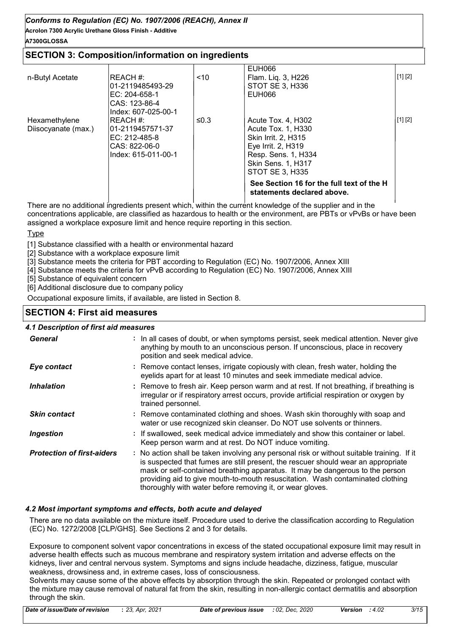**Acrolon 7300 Acrylic Urethane Gloss Finish - Additive A7300GLOSSA**

# **SECTION 3: Composition/information on ingredients**

|                     |                                                   |      | See Section 16 for the full text of the H<br>statements declared above. |         |
|---------------------|---------------------------------------------------|------|-------------------------------------------------------------------------|---------|
|                     | Index: 615-011-00-1                               |      | Resp. Sens. 1, H334<br>Skin Sens. 1, H317<br>STOT SE 3. H335            |         |
|                     | IEC: 212-485-8<br>CAS: 822-06-0                   |      | <b>Skin Irrit. 2. H315</b><br>Eye Irrit. 2, H319                        |         |
| Diisocyanate (max.) | l01-2119457571-37                                 |      | Acute Tox. 1, H330                                                      |         |
| Hexamethylene       | CAS: 123-86-4<br>Index: 607-025-00-1<br>IREACH #: | ≤0.3 | Acute Tox. 4, H302                                                      | [1] [2] |
|                     | l01-2119485493-29<br>$EC: 204-658-1$              |      | STOT SE 3. H336<br>EUH066                                               |         |
| n-Butyl Acetate     | IREACH #:                                         | < 10 | <b>EUH066</b><br>Flam. Lig. 3, H226                                     | [1] [2] |

There are no additional ingredients present which, within the current knowledge of the supplier and in the concentrations applicable, are classified as hazardous to health or the environment, are PBTs or vPvBs or have been assigned a workplace exposure limit and hence require reporting in this section.

#### **Type**

[1] Substance classified with a health or environmental hazard

[2] Substance with a workplace exposure limit

[3] Substance meets the criteria for PBT according to Regulation (EC) No. 1907/2006, Annex XIII

[4] Substance meets the criteria for vPvB according to Regulation (EC) No. 1907/2006, Annex XIII

[5] Substance of equivalent concern

[6] Additional disclosure due to company policy

Occupational exposure limits, if available, are listed in Section 8.

# **SECTION 4: First aid measures**

#### *4.1 Description of first aid measures*

| General                           | : In all cases of doubt, or when symptoms persist, seek medical attention. Never give<br>anything by mouth to an unconscious person. If unconscious, place in recovery<br>position and seek medical advice.                                                                                                                                                                                                     |
|-----------------------------------|-----------------------------------------------------------------------------------------------------------------------------------------------------------------------------------------------------------------------------------------------------------------------------------------------------------------------------------------------------------------------------------------------------------------|
| Eye contact                       | : Remove contact lenses, irrigate copiously with clean, fresh water, holding the<br>eyelids apart for at least 10 minutes and seek immediate medical advice.                                                                                                                                                                                                                                                    |
| <i><b>Inhalation</b></i>          | : Remove to fresh air. Keep person warm and at rest. If not breathing, if breathing is<br>irregular or if respiratory arrest occurs, provide artificial respiration or oxygen by<br>trained personnel.                                                                                                                                                                                                          |
| <b>Skin contact</b>               | : Remove contaminated clothing and shoes. Wash skin thoroughly with soap and<br>water or use recognized skin cleanser. Do NOT use solvents or thinners.                                                                                                                                                                                                                                                         |
| <b>Ingestion</b>                  | : If swallowed, seek medical advice immediately and show this container or label.<br>Keep person warm and at rest. Do NOT induce vomiting.                                                                                                                                                                                                                                                                      |
| <b>Protection of first-aiders</b> | : No action shall be taken involving any personal risk or without suitable training. If it<br>is suspected that fumes are still present, the rescuer should wear an appropriate<br>mask or self-contained breathing apparatus. It may be dangerous to the person<br>providing aid to give mouth-to-mouth resuscitation. Wash contaminated clothing<br>thoroughly with water before removing it, or wear gloves. |

#### *4.2 Most important symptoms and effects, both acute and delayed*

There are no data available on the mixture itself. Procedure used to derive the classification according to Regulation (EC) No. 1272/2008 [CLP/GHS]. See Sections 2 and 3 for details.

Exposure to component solvent vapor concentrations in excess of the stated occupational exposure limit may result in adverse health effects such as mucous membrane and respiratory system irritation and adverse effects on the kidneys, liver and central nervous system. Symptoms and signs include headache, dizziness, fatigue, muscular weakness, drowsiness and, in extreme cases, loss of consciousness.

Solvents may cause some of the above effects by absorption through the skin. Repeated or prolonged contact with the mixture may cause removal of natural fat from the skin, resulting in non-allergic contact dermatitis and absorption through the skin.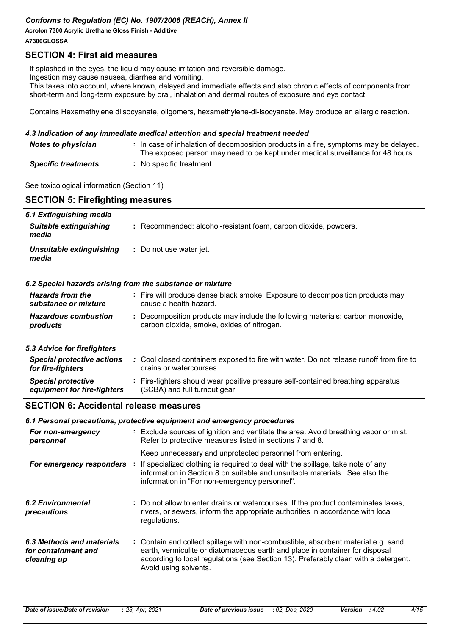**Acrolon 7300 Acrylic Urethane Gloss Finish - Additive**

# **A7300GLOSSA**

## **SECTION 4: First aid measures**

If splashed in the eyes, the liquid may cause irritation and reversible damage.

Ingestion may cause nausea, diarrhea and vomiting.

This takes into account, where known, delayed and immediate effects and also chronic effects of components from short-term and long-term exposure by oral, inhalation and dermal routes of exposure and eye contact.

Contains Hexamethylene diisocyanate, oligomers, hexamethylene-di-isocyanate. May produce an allergic reaction.

#### *4.3 Indication of any immediate medical attention and special treatment needed*

| <b>Notes to physician</b>  | : In case of inhalation of decomposition products in a fire, symptoms may be delayed.<br>The exposed person may need to be kept under medical surveillance for 48 hours. |
|----------------------------|--------------------------------------------------------------------------------------------------------------------------------------------------------------------------|
| <b>Specific treatments</b> | : No specific treatment.                                                                                                                                                 |

See toxicological information (Section 11)

| <b>SECTION 5: Firefighting measures</b>                  |                                                                                                                                                  |  |
|----------------------------------------------------------|--------------------------------------------------------------------------------------------------------------------------------------------------|--|
| 5.1 Extinguishing media                                  |                                                                                                                                                  |  |
| <b>Suitable extinguishing</b><br>media                   | : Recommended: alcohol-resistant foam, carbon dioxide, powders.                                                                                  |  |
| <b>Unsuitable extinguishing</b><br>media                 | : Do not use water jet.                                                                                                                          |  |
|                                                          | 5.2 Special hazards arising from the substance or mixture                                                                                        |  |
| <b>Hazards from the</b><br>substance or mixture          | : Fire will produce dense black smoke. Exposure to decomposition products may<br>cause a health hazard.                                          |  |
| <b>Hazardous combustion</b><br>products                  | : Decomposition products may include the following materials: carbon monoxide,<br>carbon dioxide, smoke, oxides of nitrogen.                     |  |
| 5.3 Advice for firefighters                              |                                                                                                                                                  |  |
| <b>Special protective actions</b><br>for fire-fighters   | : Cool closed containers exposed to fire with water. Do not release runoff from fire to<br>drains or watercourses.                               |  |
| <b>Special protective</b><br>equipment for fire-fighters | : Fire-fighters should wear positive pressure self-contained breathing apparatus<br>(SCBA) and full turnout gear.                                |  |
| <b>SECTION 6: Accidental release measures</b>            |                                                                                                                                                  |  |
|                                                          | 6.1 Personal precautions, protective equipment and emergency procedures                                                                          |  |
| For non-emergency<br>personnel                           | : Exclude sources of ignition and ventilate the area. Avoid breathing vapor or mist.<br>Refer to protective measures listed in sections 7 and 8. |  |
|                                                          | Keen unnecessary and unnrotected nersonnel from entering                                                                                         |  |

| For emergency responders         | <u>theop annocessary and amprotected personnel from entering.</u><br>If specialized clothing is required to deal with the spillage, take note of any<br>information in Section 8 on suitable and unsuitable materials. See also the<br>information in "For non-emergency personnel". |
|----------------------------------|--------------------------------------------------------------------------------------------------------------------------------------------------------------------------------------------------------------------------------------------------------------------------------------|
| 6.2 Environmental<br>precautions | : Do not allow to enter drains or watercourses. If the product contaminates lakes,<br>rivers, or sewers, inform the appropriate authorities in accordance with local<br>regulations.                                                                                                 |

| 6.3 Methods and materials | : Contain and collect spillage with non-combustible, absorbent material e.g. sand,                           |
|---------------------------|--------------------------------------------------------------------------------------------------------------|
| for containment and       | earth, vermiculite or diatomaceous earth and place in container for disposal                                 |
| cleaning up               | according to local regulations (see Section 13). Preferably clean with a detergent.<br>Avoid using solvents. |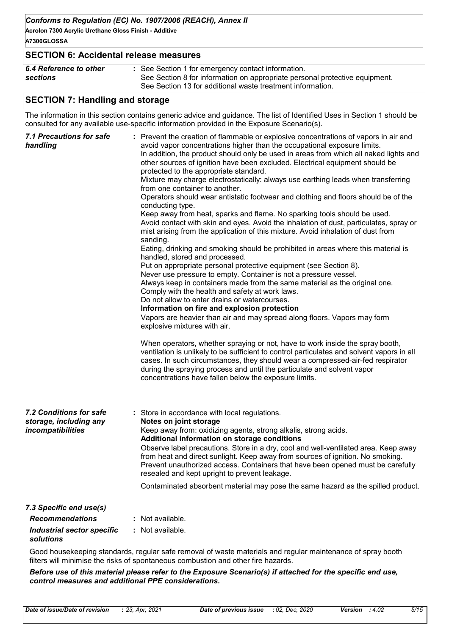**Acrolon 7300 Acrylic Urethane Gloss Finish - Additive A7300GLOSSA**

| <b>SECTION 6: Accidental release measures</b> |                                                                                                                                                                                                 |  |
|-----------------------------------------------|-------------------------------------------------------------------------------------------------------------------------------------------------------------------------------------------------|--|
| <b>6.4 Reference to other</b><br>sections     | : See Section 1 for emergency contact information.<br>See Section 8 for information on appropriate personal protective equipment.<br>See Section 13 for additional waste treatment information. |  |

# **SECTION 7: Handling and storage**

The information in this section contains generic advice and guidance. The list of Identified Uses in Section 1 should be consulted for any available use-specific information provided in the Exposure Scenario(s).

| <b>7.1 Precautions for safe</b><br>handling                            | : Prevent the creation of flammable or explosive concentrations of vapors in air and<br>avoid vapor concentrations higher than the occupational exposure limits.<br>In addition, the product should only be used in areas from which all naked lights and<br>other sources of ignition have been excluded. Electrical equipment should be<br>protected to the appropriate standard.<br>Mixture may charge electrostatically: always use earthing leads when transferring<br>from one container to another.<br>Operators should wear antistatic footwear and clothing and floors should be of the<br>conducting type.<br>Keep away from heat, sparks and flame. No sparking tools should be used.<br>Avoid contact with skin and eyes. Avoid the inhalation of dust, particulates, spray or<br>mist arising from the application of this mixture. Avoid inhalation of dust from<br>sanding.<br>Eating, drinking and smoking should be prohibited in areas where this material is<br>handled, stored and processed.<br>Put on appropriate personal protective equipment (see Section 8).<br>Never use pressure to empty. Container is not a pressure vessel.<br>Always keep in containers made from the same material as the original one.<br>Comply with the health and safety at work laws.<br>Do not allow to enter drains or watercourses.<br>Information on fire and explosion protection<br>Vapors are heavier than air and may spread along floors. Vapors may form<br>explosive mixtures with air.<br>When operators, whether spraying or not, have to work inside the spray booth,<br>ventilation is unlikely to be sufficient to control particulates and solvent vapors in all<br>cases. In such circumstances, they should wear a compressed-air-fed respirator<br>during the spraying process and until the particulate and solvent vapor<br>concentrations have fallen below the exposure limits. |
|------------------------------------------------------------------------|---------------------------------------------------------------------------------------------------------------------------------------------------------------------------------------------------------------------------------------------------------------------------------------------------------------------------------------------------------------------------------------------------------------------------------------------------------------------------------------------------------------------------------------------------------------------------------------------------------------------------------------------------------------------------------------------------------------------------------------------------------------------------------------------------------------------------------------------------------------------------------------------------------------------------------------------------------------------------------------------------------------------------------------------------------------------------------------------------------------------------------------------------------------------------------------------------------------------------------------------------------------------------------------------------------------------------------------------------------------------------------------------------------------------------------------------------------------------------------------------------------------------------------------------------------------------------------------------------------------------------------------------------------------------------------------------------------------------------------------------------------------------------------------------------------------------------------------------------------------------------------------------------------------|
| 7.2 Conditions for safe<br>storage, including any<br>incompatibilities | : Store in accordance with local regulations.<br>Notes on joint storage<br>Keep away from: oxidizing agents, strong alkalis, strong acids.<br>Additional information on storage conditions<br>Observe label precautions. Store in a dry, cool and well-ventilated area. Keep away<br>from heat and direct sunlight. Keep away from sources of ignition. No smoking.<br>Prevent unauthorized access. Containers that have been opened must be carefully<br>resealed and kept upright to prevent leakage.<br>Contaminated absorbent material may pose the same hazard as the spilled product.                                                                                                                                                                                                                                                                                                                                                                                                                                                                                                                                                                                                                                                                                                                                                                                                                                                                                                                                                                                                                                                                                                                                                                                                                                                                                                                   |
| 7.3 Specific end use(s)                                                |                                                                                                                                                                                                                                                                                                                                                                                                                                                                                                                                                                                                                                                                                                                                                                                                                                                                                                                                                                                                                                                                                                                                                                                                                                                                                                                                                                                                                                                                                                                                                                                                                                                                                                                                                                                                                                                                                                               |
| <b>Recommendations</b>                                                 | Not available.                                                                                                                                                                                                                                                                                                                                                                                                                                                                                                                                                                                                                                                                                                                                                                                                                                                                                                                                                                                                                                                                                                                                                                                                                                                                                                                                                                                                                                                                                                                                                                                                                                                                                                                                                                                                                                                                                                |
| <b>Industrial sector specific</b><br>solutions                         | : Not available.                                                                                                                                                                                                                                                                                                                                                                                                                                                                                                                                                                                                                                                                                                                                                                                                                                                                                                                                                                                                                                                                                                                                                                                                                                                                                                                                                                                                                                                                                                                                                                                                                                                                                                                                                                                                                                                                                              |

Good housekeeping standards, regular safe removal of waste materials and regular maintenance of spray booth filters will minimise the risks of spontaneous combustion and other fire hazards.

*Before use of this material please refer to the Exposure Scenario(s) if attached for the specific end use, control measures and additional PPE considerations.*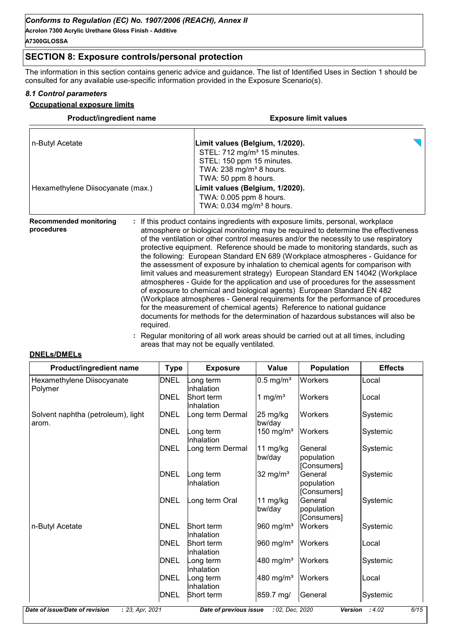**Acrolon 7300 Acrylic Urethane Gloss Finish - Additive A7300GLOSSA**

# **SECTION 8: Exposure controls/personal protection**

The information in this section contains generic advice and guidance. The list of Identified Uses in Section 1 should be consulted for any available use-specific information provided in the Exposure Scenario(s).

#### *8.1 Control parameters*

#### **Occupational exposure limits**

| <b>Product/ingredient name</b>    | <b>Exposure limit values</b>                                                                                                                                             |  |  |
|-----------------------------------|--------------------------------------------------------------------------------------------------------------------------------------------------------------------------|--|--|
| n-Butyl Acetate                   | Limit values (Belgium, 1/2020).<br>STEL: 712 mg/m <sup>3</sup> 15 minutes.<br>STEL: 150 ppm 15 minutes.<br>TWA: $238$ mg/m <sup>3</sup> 8 hours.<br>TWA: 50 ppm 8 hours. |  |  |
| Hexamethylene Diisocyanate (max.) | Limit values (Belgium, 1/2020).<br>TWA: 0.005 ppm 8 hours.<br>TWA: 0.034 mg/m <sup>3</sup> 8 hours.                                                                      |  |  |
| <b>Recommended monitoring</b>     | : If this product contains ingredients with exposure limits, personal, workplace                                                                                         |  |  |

**procedures** atmosphere or biological monitoring may be required to determine the effectiveness of the ventilation or other control measures and/or the necessity to use respiratory protective equipment. Reference should be made to monitoring standards, such as the following: European Standard EN 689 (Workplace atmospheres - Guidance for the assessment of exposure by inhalation to chemical agents for comparison with limit values and measurement strategy) European Standard EN 14042 (Workplace atmospheres - Guide for the application and use of procedures for the assessment of exposure to chemical and biological agents) European Standard EN 482 (Workplace atmospheres - General requirements for the performance of procedures for the measurement of chemical agents) Reference to national guidance documents for methods for the determination of hazardous substances will also be required.

> **:** Regular monitoring of all work areas should be carried out at all times, including areas that may not be equally ventilated.

## **DNELs/DMELs**

| Product/ingredient name                     | <b>Type</b> | <b>Exposure</b>                 | <b>Value</b>            | <b>Population</b>                    | <b>Effects</b> |
|---------------------------------------------|-------------|---------------------------------|-------------------------|--------------------------------------|----------------|
| Hexamethylene Diisocyanate                  | DNEL        | ong term<br>nhalation           | $0.5$ mg/m <sup>3</sup> | <b>Workers</b>                       | Local          |
| Polymer                                     | DNEL        | Short term<br>Inhalation        | 1 mg/ $m3$              | <b>Workers</b>                       | Local          |
| Solvent naphtha (petroleum), light<br>arom. | <b>DNEL</b> | ong term Dermal                 | 25 mg/kg<br>bw/day      | <b>Workers</b>                       | Systemic       |
|                                             | <b>DNEL</b> | ong term<br>nhalation           | 150 mg/ $m3$            | <b>Workers</b>                       | Systemic       |
|                                             | <b>DNEL</b> | ong term Dermal                 | 11 mg/kg<br>bw/day      | General<br>population<br>[Consumers] | Systemic       |
|                                             | <b>DNEL</b> | ong term<br>nhalation           | $32 \text{ mg/m}^3$     | General<br>population<br>[Consumers] | Systemic       |
|                                             | <b>DNEL</b> | ong term Oral                   | 11 $mg/kg$<br>bw/day    | General<br>population<br>[Consumers] | Systemic       |
| n-Butyl Acetate                             | DNEL        | Short term<br>Inhalation        | 960 mg/ $m3$            | <b>Workers</b>                       | Systemic       |
|                                             | DNEL        | <b>Short term</b><br>Inhalation | 960 mg/m <sup>3</sup>   | <b>Workers</b>                       | Local          |
|                                             | <b>DNEL</b> | ong term<br>nhalation           | 480 mg/m <sup>3</sup>   | <b>Workers</b>                       | Systemic       |
|                                             | <b>DNEL</b> | ong term<br>nhalation           | 480 mg/m <sup>3</sup>   | Workers                              | Local          |
|                                             | DNEL        | Short term                      | 859.7 mg/               | General                              | Systemic       |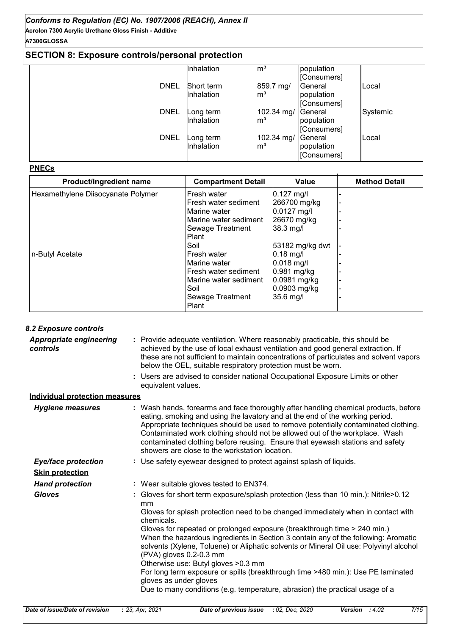**Acrolon 7300 Acrylic Urethane Gloss Finish - Additive A7300GLOSSA**

# **SECTION 8: Exposure controls/personal protection**

|             | Inhalation        | $\mathsf{m}^3$  | population  |          |
|-------------|-------------------|-----------------|-------------|----------|
|             |                   |                 | [Consumers] |          |
| <b>DNEL</b> | <b>Short term</b> | 859.7 mg/       | General     | Local    |
|             | Inhalation        | $\mathsf{Im}^3$ | population  |          |
|             |                   |                 | [Consumers] |          |
| <b>DNEL</b> | Long term         | 102.34 mg/      | General     | Systemic |
|             | Inhalation        | $\mathsf{Im}^3$ | population  |          |
|             |                   |                 | [Consumers] |          |
| <b>DNEL</b> | Long term         | 102.34 mg/      | General     | Local    |
|             | Inhalation        | $\mathsf{Im}^3$ | population  |          |
|             |                   |                 | [Consumers] |          |

#### **PNECs**

| Product/ingredient name            | <b>Compartment Detail</b> | Value           | <b>Method Detail</b> |
|------------------------------------|---------------------------|-----------------|----------------------|
| Hexamethylene Diisocyanate Polymer | lFresh water              | $0.127$ mg/l    |                      |
|                                    | Fresh water sediment      | 266700 mg/kg    |                      |
|                                    | Marine water              | $0.0127$ mg/l   |                      |
|                                    | Marine water sediment     | 26670 mg/kg     |                      |
|                                    | Sewage Treatment          | 38.3 mg/l       |                      |
|                                    | <b>Plant</b>              |                 |                      |
|                                    | Soil                      | 53182 mg/kg dwt |                      |
| n-Butyl Acetate                    | lFresh water              | $0.18$ mg/l     |                      |
|                                    | Marine water              | $0.018$ mg/l    |                      |
|                                    | lFresh water sediment     | 0.981 mg/kg     |                      |
|                                    | lMarine water sediment    | 0.0981 mg/kg    |                      |
|                                    | Soil                      | 0.0903 mg/kg    |                      |
|                                    | Sewage Treatment          | 35.6 mg/l       |                      |
|                                    | Plant                     |                 |                      |

| 8.2 Exposure controls                      |                                                                                                                                                                                                                                                                                                                                                                                                                                                                             |
|--------------------------------------------|-----------------------------------------------------------------------------------------------------------------------------------------------------------------------------------------------------------------------------------------------------------------------------------------------------------------------------------------------------------------------------------------------------------------------------------------------------------------------------|
| <b>Appropriate engineering</b><br>controls | : Provide adequate ventilation. Where reasonably practicable, this should be<br>achieved by the use of local exhaust ventilation and good general extraction. If<br>these are not sufficient to maintain concentrations of particulates and solvent vapors<br>below the OEL, suitable respiratory protection must be worn.                                                                                                                                                  |
|                                            | : Users are advised to consider national Occupational Exposure Limits or other<br>equivalent values.                                                                                                                                                                                                                                                                                                                                                                        |
| <b>Individual protection measures</b>      |                                                                                                                                                                                                                                                                                                                                                                                                                                                                             |
| <b>Hygiene measures</b>                    | : Wash hands, forearms and face thoroughly after handling chemical products, before<br>eating, smoking and using the lavatory and at the end of the working period.<br>Appropriate techniques should be used to remove potentially contaminated clothing.<br>Contaminated work clothing should not be allowed out of the workplace. Wash<br>contaminated clothing before reusing. Ensure that eyewash stations and safety<br>showers are close to the workstation location. |
| <b>Eye/face protection</b>                 | : Use safety eyewear designed to protect against splash of liquids.                                                                                                                                                                                                                                                                                                                                                                                                         |
| <b>Skin protection</b>                     |                                                                                                                                                                                                                                                                                                                                                                                                                                                                             |
| <b>Hand protection</b>                     | : Wear suitable gloves tested to EN374.                                                                                                                                                                                                                                                                                                                                                                                                                                     |
| <b>Gloves</b>                              | : Gloves for short term exposure/splash protection (less than 10 min.): Nitrile>0.12<br>mm                                                                                                                                                                                                                                                                                                                                                                                  |
|                                            | Gloves for splash protection need to be changed immediately when in contact with<br>chemicals.                                                                                                                                                                                                                                                                                                                                                                              |
|                                            | Gloves for repeated or prolonged exposure (breakthrough time > 240 min.)<br>When the hazardous ingredients in Section 3 contain any of the following: Aromatic<br>solvents (Xylene, Toluene) or Aliphatic solvents or Mineral Oil use: Polyvinyl alcohol<br>(PVA) gloves 0.2-0.3 mm<br>Otherwise use: Butyl gloves > 0.3 mm                                                                                                                                                 |
|                                            | For long term exposure or spills (breakthrough time >480 min.): Use PE laminated<br>gloves as under gloves                                                                                                                                                                                                                                                                                                                                                                  |
|                                            | Due to many conditions (e.g. temperature, abrasion) the practical usage of a                                                                                                                                                                                                                                                                                                                                                                                                |
|                                            |                                                                                                                                                                                                                                                                                                                                                                                                                                                                             |
| Date of issue/Date of revision             | : 23, Apr, 2021<br>7/15<br>Date of previous issue<br>: 02, Dec, 2020<br><b>Version</b><br>:4.02                                                                                                                                                                                                                                                                                                                                                                             |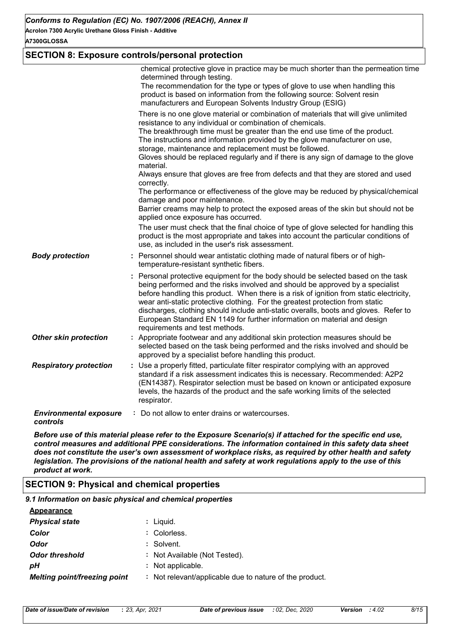**Acrolon 7300 Acrylic Urethane Gloss Finish - Additive**

**A7300GLOSSA**

# **SECTION 8: Exposure controls/personal protection**

|                                           | chemical protective glove in practice may be much shorter than the permeation time<br>determined through testing.<br>The recommendation for the type or types of glove to use when handling this<br>product is based on information from the following source: Solvent resin<br>manufacturers and European Solvents Industry Group (ESIG)<br>There is no one glove material or combination of materials that will give unlimited<br>resistance to any individual or combination of chemicals.<br>The breakthrough time must be greater than the end use time of the product.<br>The instructions and information provided by the glove manufacturer on use,<br>storage, maintenance and replacement must be followed.<br>Gloves should be replaced regularly and if there is any sign of damage to the glove<br>material.<br>Always ensure that gloves are free from defects and that they are stored and used<br>correctly.<br>The performance or effectiveness of the glove may be reduced by physical/chemical<br>damage and poor maintenance.<br>Barrier creams may help to protect the exposed areas of the skin but should not be<br>applied once exposure has occurred.<br>The user must check that the final choice of type of glove selected for handling this<br>product is the most appropriate and takes into account the particular conditions of<br>use, as included in the user's risk assessment. |
|-------------------------------------------|-------------------------------------------------------------------------------------------------------------------------------------------------------------------------------------------------------------------------------------------------------------------------------------------------------------------------------------------------------------------------------------------------------------------------------------------------------------------------------------------------------------------------------------------------------------------------------------------------------------------------------------------------------------------------------------------------------------------------------------------------------------------------------------------------------------------------------------------------------------------------------------------------------------------------------------------------------------------------------------------------------------------------------------------------------------------------------------------------------------------------------------------------------------------------------------------------------------------------------------------------------------------------------------------------------------------------------------------------------------------------------------------------------------------|
| <b>Body protection</b>                    | : Personnel should wear antistatic clothing made of natural fibers or of high-<br>temperature-resistant synthetic fibers.                                                                                                                                                                                                                                                                                                                                                                                                                                                                                                                                                                                                                                                                                                                                                                                                                                                                                                                                                                                                                                                                                                                                                                                                                                                                                         |
|                                           | : Personal protective equipment for the body should be selected based on the task<br>being performed and the risks involved and should be approved by a specialist<br>before handling this product. When there is a risk of ignition from static electricity,<br>wear anti-static protective clothing. For the greatest protection from static<br>discharges, clothing should include anti-static overalls, boots and gloves. Refer to<br>European Standard EN 1149 for further information on material and design<br>requirements and test methods.                                                                                                                                                                                                                                                                                                                                                                                                                                                                                                                                                                                                                                                                                                                                                                                                                                                              |
| <b>Other skin protection</b>              | : Appropriate footwear and any additional skin protection measures should be<br>selected based on the task being performed and the risks involved and should be<br>approved by a specialist before handling this product.                                                                                                                                                                                                                                                                                                                                                                                                                                                                                                                                                                                                                                                                                                                                                                                                                                                                                                                                                                                                                                                                                                                                                                                         |
| <b>Respiratory protection</b>             | : Use a properly fitted, particulate filter respirator complying with an approved<br>standard if a risk assessment indicates this is necessary. Recommended: A2P2<br>(EN14387). Respirator selection must be based on known or anticipated exposure<br>levels, the hazards of the product and the safe working limits of the selected<br>respirator.                                                                                                                                                                                                                                                                                                                                                                                                                                                                                                                                                                                                                                                                                                                                                                                                                                                                                                                                                                                                                                                              |
| <b>Environmental exposure</b><br>controls | : Do not allow to enter drains or watercourses.                                                                                                                                                                                                                                                                                                                                                                                                                                                                                                                                                                                                                                                                                                                                                                                                                                                                                                                                                                                                                                                                                                                                                                                                                                                                                                                                                                   |

*Before use of this material please refer to the Exposure Scenario(s) if attached for the specific end use, control measures and additional PPE considerations. The information contained in this safety data sheet does not constitute the user's own assessment of workplace risks, as required by other health and safety legislation. The provisions of the national health and safety at work regulations apply to the use of this product at work.*

## **SECTION 9: Physical and chemical properties**

| 9.1 Information on basic physical and chemical properties |                                                         |
|-----------------------------------------------------------|---------------------------------------------------------|
| Appearance                                                |                                                         |
| <b>Physical state</b>                                     | : Liguid.                                               |
| Color                                                     | : Colorless.                                            |
| Odor                                                      | : Solvent.                                              |
| <b>Odor threshold</b>                                     | : Not Available (Not Tested).                           |
| pН                                                        | : Not applicable.                                       |
| <b>Melting point/freezing point</b>                       | : Not relevant/applicable due to nature of the product. |
|                                                           |                                                         |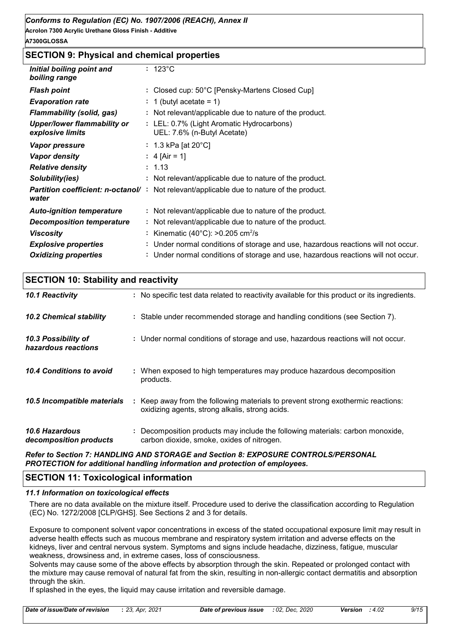#### **A7300GLOSSA**

# **SECTION 9: Physical and chemical properties**

| Initial boiling point and<br>boiling range             | $: 123^{\circ}$ C                                                                 |
|--------------------------------------------------------|-----------------------------------------------------------------------------------|
| <b>Flash point</b>                                     | : Closed cup: 50°C [Pensky-Martens Closed Cup]                                    |
| <b>Evaporation rate</b>                                | : 1 (butyl acetate = 1)                                                           |
| <b>Flammability (solid, gas)</b>                       | : Not relevant/applicable due to nature of the product.                           |
| <b>Upper/lower flammability or</b><br>explosive limits | : LEL: 0.7% (Light Aromatic Hydrocarbons)<br>UEL: 7.6% (n-Butyl Acetate)          |
| <b>Vapor pressure</b>                                  | : 1.3 kPa [at 20 $^{\circ}$ C]                                                    |
| <b>Vapor density</b>                                   | : 4 [Air = 1]                                                                     |
| <b>Relative density</b>                                | : 1.13                                                                            |
| Solubility(ies)                                        | : Not relevant/applicable due to nature of the product.                           |
| <b>Partition coefficient: n-octanol/:</b><br>water     | Not relevant/applicable due to nature of the product.                             |
| <b>Auto-ignition temperature</b>                       | : Not relevant/applicable due to nature of the product.                           |
| <b>Decomposition temperature</b>                       | : Not relevant/applicable due to nature of the product.                           |
| <b>Viscosity</b>                                       | : Kinematic (40 $^{\circ}$ C): >0.205 cm <sup>2</sup> /s                          |
| <b>Explosive properties</b>                            | : Under normal conditions of storage and use, hazardous reactions will not occur. |
| <b>Oxidizing properties</b>                            | : Under normal conditions of storage and use, hazardous reactions will not occur. |

| <b>SECTION 10: Stability and reactivity</b> |  |
|---------------------------------------------|--|
|---------------------------------------------|--|

| 10.1 Reactivity                            | : No specific test data related to reactivity available for this product or its ingredients.                                        |
|--------------------------------------------|-------------------------------------------------------------------------------------------------------------------------------------|
| <b>10.2 Chemical stability</b>             | : Stable under recommended storage and handling conditions (see Section 7).                                                         |
| 10.3 Possibility of<br>hazardous reactions | : Under normal conditions of storage and use, hazardous reactions will not occur.                                                   |
| 10.4 Conditions to avoid                   | : When exposed to high temperatures may produce hazardous decomposition<br>products.                                                |
| 10.5 Incompatible materials                | : Keep away from the following materials to prevent strong exothermic reactions:<br>oxidizing agents, strong alkalis, strong acids. |
| 10.6 Hazardous<br>decomposition products   | : Decomposition products may include the following materials: carbon monoxide,<br>carbon dioxide, smoke, oxides of nitrogen.        |
|                                            |                                                                                                                                     |

*Refer to Section 7: HANDLING AND STORAGE and Section 8: EXPOSURE CONTROLS/PERSONAL PROTECTION for additional handling information and protection of employees.*

# **SECTION 11: Toxicological information**

#### *11.1 Information on toxicological effects*

There are no data available on the mixture itself. Procedure used to derive the classification according to Regulation (EC) No. 1272/2008 [CLP/GHS]. See Sections 2 and 3 for details.

Exposure to component solvent vapor concentrations in excess of the stated occupational exposure limit may result in adverse health effects such as mucous membrane and respiratory system irritation and adverse effects on the kidneys, liver and central nervous system. Symptoms and signs include headache, dizziness, fatigue, muscular weakness, drowsiness and, in extreme cases, loss of consciousness.

Solvents may cause some of the above effects by absorption through the skin. Repeated or prolonged contact with the mixture may cause removal of natural fat from the skin, resulting in non-allergic contact dermatitis and absorption through the skin.

If splashed in the eyes, the liquid may cause irritation and reversible damage.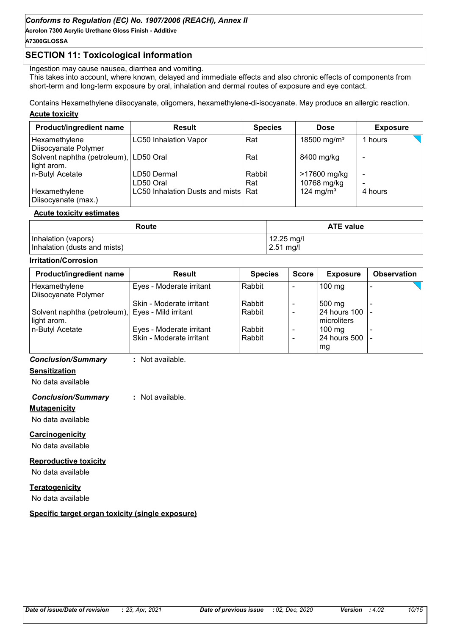**Acrolon 7300 Acrylic Urethane Gloss Finish - Additive**

# **A7300GLOSSA**

# **SECTION 11: Toxicological information**

Ingestion may cause nausea, diarrhea and vomiting.

This takes into account, where known, delayed and immediate effects and also chronic effects of components from short-term and long-term exposure by oral, inhalation and dermal routes of exposure and eye contact.

Contains Hexamethylene diisocyanate, oligomers, hexamethylene-di-isocyanate. May produce an allergic reaction.

#### **Acute toxicity**

| Product/ingredient name                | <b>Result</b>                       | <b>Species</b> | <b>Dose</b>             | <b>Exposure</b> |  |
|----------------------------------------|-------------------------------------|----------------|-------------------------|-----------------|--|
| Hexamethylene<br>Diisocyanate Polymer  | <b>LC50 Inhalation Vapor</b>        | Rat            | 18500 mg/m <sup>3</sup> | 1 hours         |  |
| Solvent naphtha (petroleum), LD50 Oral |                                     | Rat            | 8400 mg/kg              |                 |  |
| light arom.<br>n-Butyl Acetate         | LD50 Dermal                         | Rabbit         | >17600 mg/kg            | -               |  |
|                                        | LD50 Oral                           | Rat            | 10768 mg/kg             |                 |  |
| Hexamethylene<br>Diisocyanate (max.)   | LC50 Inhalation Dusts and mists Rat |                | 124 mg/m <sup>3</sup>   | 4 hours         |  |

#### **Acute toxicity estimates**

| Route                        | <b>ATE value</b> |  |  |
|------------------------------|------------------|--|--|
| Inhalation (vapors)          | $12.25$ mg/l     |  |  |
| Inhalation (dusts and mists) | $2.51$ mg/l      |  |  |

#### **Irritation/Corrosion**

## *Conclusion/Summary* **:** Not available.

**Sensitization**

No data available

#### *Conclusion/Summary* **:** Not available.

**Mutagenicity**

No data available

#### **Carcinogenicity**

No data available

#### **Reproductive toxicity**

No data available

#### **Teratogenicity**

No data available

#### **Specific target organ toxicity (single exposure)**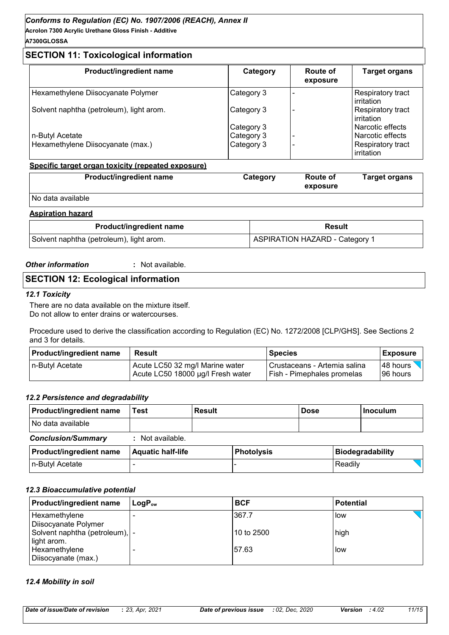**Acrolon 7300 Acrylic Urethane Gloss Finish - Additive A7300GLOSSA**

# **SECTION 11: Toxicological information**

| Product/ingredient name                  | Category   | Route of<br>exposure | <b>Target organs</b>            |  |
|------------------------------------------|------------|----------------------|---------------------------------|--|
| Hexamethylene Diisocyanate Polymer       | Category 3 |                      | Respiratory tract<br>irritation |  |
| Solvent naphtha (petroleum), light arom. | Category 3 |                      | Respiratory tract<br>irritation |  |
|                                          | Category 3 |                      | Narcotic effects                |  |
| n-Butyl Acetate                          | Category 3 |                      | Narcotic effects                |  |
| Hexamethylene Diisocyanate (max.)        | Category 3 |                      | Respiratory tract<br>irritation |  |

#### **Specific target organ toxicity (repeated exposure)**

| <b>Product/ingredient name</b> | Category | <b>Route of</b><br>exposure | Target organs |
|--------------------------------|----------|-----------------------------|---------------|
| No data available              |          |                             |               |

#### **Aspiration hazard**

| <b>Product/ingredient name</b>           | Result                         |  |  |
|------------------------------------------|--------------------------------|--|--|
| Solvent naphtha (petroleum), light arom. | ASPIRATION HAZARD - Category 1 |  |  |

#### *Other information* **:**

: Not available.

# **SECTION 12: Ecological information**

#### *12.1 Toxicity*

There are no data available on the mixture itself. Do not allow to enter drains or watercourses.

Procedure used to derive the classification according to Regulation (EC) No. 1272/2008 [CLP/GHS]. See Sections 2 and 3 for details.

| <b>Product/ingredient name</b> | Result                            | <b>Species</b>                    | <b>Exposure</b> |
|--------------------------------|-----------------------------------|-----------------------------------|-----------------|
| In-Butyl Acetate               | Acute LC50 32 mg/l Marine water   | l Crustaceans - Artemia salina    | I48 hours       |
|                                | Acute LC50 18000 µg/l Fresh water | <b>Fish - Pimephales promelas</b> | I96 hours       |

#### *12.2 Persistence and degradability*

| <b>Product/ingredient name</b> | Test                     | <b>Result</b> |                   | <b>Dose</b> |         | l Inoculum              |
|--------------------------------|--------------------------|---------------|-------------------|-------------|---------|-------------------------|
| No data available              |                          |               |                   |             |         |                         |
| <b>Conclusion/Summary</b>      | : Not available.         |               |                   |             |         |                         |
| <b>Product/ingredient name</b> | <b>Aquatic half-life</b> |               | <b>Photolysis</b> |             |         | <b>Biodegradability</b> |
| n-Butyl Acetate                |                          |               |                   |             | Readily |                         |

#### *12.3 Bioaccumulative potential*

| Product/ingredient name         | $\mathsf{LogP}_\mathsf{ow}$ | <b>BCF</b>  | <b>Potential</b> |
|---------------------------------|-----------------------------|-------------|------------------|
| Hexamethylene                   |                             | 367.7       | low              |
| Diisocyanate Polymer            |                             |             |                  |
| Solvent naphtha (petroleum),  - |                             | l10 to 2500 | high             |
| light arom.                     |                             |             |                  |
| Hexamethylene                   |                             | 57.63       | low              |
| Diisocyanate (max.)             |                             |             |                  |

#### *12.4 Mobility in soil*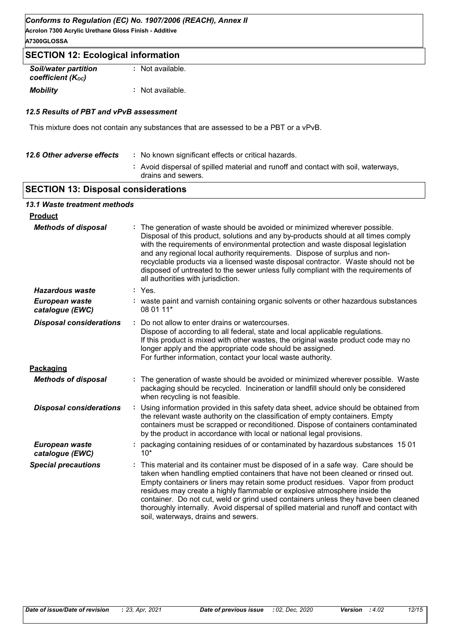**Acrolon 7300 Acrylic Urethane Gloss Finish - Additive A7300GLOSSA**

# **SECTION 12: Ecological information**

| <b>Soil/water partition</b> |  | : Not available. |
|-----------------------------|--|------------------|
| coefficient (Koc)           |  |                  |
| <b>Mobility</b>             |  | : Not available. |

#### *12.5 Results of PBT and vPvB assessment*

This mixture does not contain any substances that are assessed to be a PBT or a vPvB.

| 12.6 Other adverse effects | : No known significant effects or critical hazards.                                                      |
|----------------------------|----------------------------------------------------------------------------------------------------------|
|                            | : Avoid dispersal of spilled material and runoff and contact with soil, waterways,<br>drains and sewers. |
|                            |                                                                                                          |

# **SECTION 13: Disposal considerations**

# *13.1 Waste treatment methods*

| <b>Product</b>                    |                                                                                                                                                                                                                                                                                                                                                                                                                                                                                                                                                              |
|-----------------------------------|--------------------------------------------------------------------------------------------------------------------------------------------------------------------------------------------------------------------------------------------------------------------------------------------------------------------------------------------------------------------------------------------------------------------------------------------------------------------------------------------------------------------------------------------------------------|
| <b>Methods of disposal</b>        | The generation of waste should be avoided or minimized wherever possible.<br>Disposal of this product, solutions and any by-products should at all times comply<br>with the requirements of environmental protection and waste disposal legislation<br>and any regional local authority requirements. Dispose of surplus and non-<br>recyclable products via a licensed waste disposal contractor. Waste should not be<br>disposed of untreated to the sewer unless fully compliant with the requirements of<br>all authorities with jurisdiction.           |
| <b>Hazardous waste</b>            | : Yes.                                                                                                                                                                                                                                                                                                                                                                                                                                                                                                                                                       |
| European waste<br>catalogue (EWC) | : waste paint and varnish containing organic solvents or other hazardous substances<br>08 01 11*                                                                                                                                                                                                                                                                                                                                                                                                                                                             |
| <b>Disposal considerations</b>    | Do not allow to enter drains or watercourses.<br>÷.<br>Dispose of according to all federal, state and local applicable regulations.<br>If this product is mixed with other wastes, the original waste product code may no<br>longer apply and the appropriate code should be assigned.<br>For further information, contact your local waste authority.                                                                                                                                                                                                       |
| Packaging                         |                                                                                                                                                                                                                                                                                                                                                                                                                                                                                                                                                              |
| <b>Methods of disposal</b>        | The generation of waste should be avoided or minimized wherever possible. Waste<br>packaging should be recycled. Incineration or landfill should only be considered<br>when recycling is not feasible.                                                                                                                                                                                                                                                                                                                                                       |
| <b>Disposal considerations</b>    | Using information provided in this safety data sheet, advice should be obtained from<br>the relevant waste authority on the classification of empty containers. Empty<br>containers must be scrapped or reconditioned. Dispose of containers contaminated<br>by the product in accordance with local or national legal provisions.                                                                                                                                                                                                                           |
| European waste<br>catalogue (EWC) | packaging containing residues of or contaminated by hazardous substances 15 01<br>$10*$                                                                                                                                                                                                                                                                                                                                                                                                                                                                      |
| <b>Special precautions</b>        | This material and its container must be disposed of in a safe way. Care should be<br>taken when handling emptied containers that have not been cleaned or rinsed out.<br>Empty containers or liners may retain some product residues. Vapor from product<br>residues may create a highly flammable or explosive atmosphere inside the<br>container. Do not cut, weld or grind used containers unless they have been cleaned<br>thoroughly internally. Avoid dispersal of spilled material and runoff and contact with<br>soil, waterways, drains and sewers. |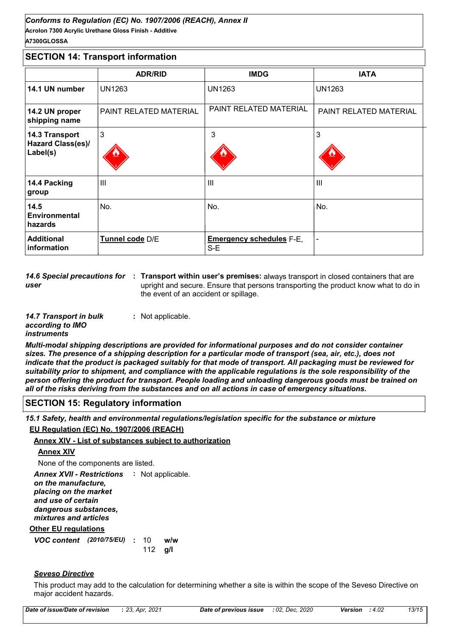#### **Acrolon 7300 Acrylic Urethane Gloss Finish - Additive** *Conforms to Regulation (EC) No. 1907/2006 (REACH), Annex II* **A7300GLOSSA**

# **SECTION 14: Transport information**

|                                                 | <b>ADR/RID</b>                | <b>IMDG</b>                            | <b>IATA</b>            |
|-------------------------------------------------|-------------------------------|----------------------------------------|------------------------|
| 14.1 UN number                                  | <b>UN1263</b>                 | <b>UN1263</b>                          | <b>UN1263</b>          |
| 14.2 UN proper<br>shipping name                 | <b>PAINT RELATED MATERIAL</b> | PAINT RELATED MATERIAL                 | PAINT RELATED MATERIAL |
| 14.3 Transport<br>Hazard Class(es)/<br>Label(s) | $\mathbf{3}$                  | 3                                      | 3                      |
| 14.4 Packing<br>group                           | $\mathbf{III}$                | Ш                                      | Ш                      |
| 14.5<br>Environmental<br>hazards                | No.                           | No.                                    | No.                    |
| <b>Additional</b><br>information                | Tunnel code D/E               | <b>Emergency schedules F-E,</b><br>S-E |                        |

14.6 Special precautions for : Transport within user's premises: always transport in closed containers that are *user* upright and secure. Ensure that persons transporting the product know what to do in the event of an accident or spillage.

| 14.7 Transport in bulk | : Not applicable. |
|------------------------|-------------------|
| according to IMO       |                   |
| <i>instruments</i>     |                   |

*Multi-modal shipping descriptions are provided for informational purposes and do not consider container sizes. The presence of a shipping description for a particular mode of transport (sea, air, etc.), does not indicate that the product is packaged suitably for that mode of transport. All packaging must be reviewed for suitability prior to shipment, and compliance with the applicable regulations is the sole responsibility of the person offering the product for transport. People loading and unloading dangerous goods must be trained on all of the risks deriving from the substances and on all actions in case of emergency situations.*

## **SECTION 15: Regulatory information**

*15.1 Safety, health and environmental regulations/legislation specific for the substance or mixture*

#### **EU Regulation (EC) No. 1907/2006 (REACH)**

#### **Annex XIV - List of substances subject to authorization**

#### **Annex XIV**

None of the components are listed.

**Other EU regulations** Annex XVII - Restrictions : Not applicable. *on the manufacture, placing on the market and use of certain dangerous substances, mixtures and articles*

*VOC content* (2010/75/EU) : 10 w/w **g/l** 112  $w/w$ 

## *Seveso Directive*

This product may add to the calculation for determining whether a site is within the scope of the Seveso Directive on major accident hazards.

| Date of previous issue : 02, Dec, 2020<br>: 4.02<br><b>Version</b> |  | Date of issue/Date of revision | : 23, Apr, 2021 |  |  |  | 13/15 |
|--------------------------------------------------------------------|--|--------------------------------|-----------------|--|--|--|-------|
|--------------------------------------------------------------------|--|--------------------------------|-----------------|--|--|--|-------|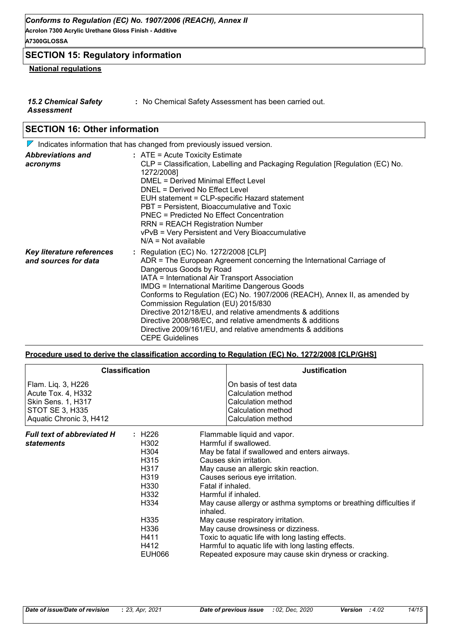**Acrolon 7300 Acrylic Urethane Gloss Finish - Additive A7300GLOSSA**

# **SECTION 15: Regulatory information**

# **National regulations**

- *15.2 Chemical Safety*
- **:** No Chemical Safety Assessment has been carried out.

*Assessment*

# **SECTION 16: Other information**

|                                                   | $\triangledown$ Indicates information that has changed from previously issued version.                                                                                                                                                                                                                                                                                                                                                                                                                                                                                                     |
|---------------------------------------------------|--------------------------------------------------------------------------------------------------------------------------------------------------------------------------------------------------------------------------------------------------------------------------------------------------------------------------------------------------------------------------------------------------------------------------------------------------------------------------------------------------------------------------------------------------------------------------------------------|
| <b>Abbreviations and</b><br>acronyms              | $:$ ATE = Acute Toxicity Estimate<br>CLP = Classification, Labelling and Packaging Regulation [Regulation (EC) No.<br>1272/2008]<br>DMEL = Derived Minimal Effect Level<br>DNEL = Derived No Effect Level<br>EUH statement = CLP-specific Hazard statement<br>PBT = Persistent, Bioaccumulative and Toxic<br>PNEC = Predicted No Effect Concentration<br><b>RRN = REACH Registration Number</b><br>vPvB = Very Persistent and Very Bioaccumulative<br>$N/A = Not available$                                                                                                                |
| Key literature references<br>and sources for data | : Regulation (EC) No. 1272/2008 [CLP]<br>ADR = The European Agreement concerning the International Carriage of<br>Dangerous Goods by Road<br>IATA = International Air Transport Association<br><b>IMDG = International Maritime Dangerous Goods</b><br>Conforms to Regulation (EC) No. 1907/2006 (REACH), Annex II, as amended by<br>Commission Regulation (EU) 2015/830<br>Directive 2012/18/EU, and relative amendments & additions<br>Directive 2008/98/EC, and relative amendments & additions<br>Directive 2009/161/EU, and relative amendments & additions<br><b>CEPE Guidelines</b> |

#### **Procedure used to derive the classification according to Regulation (EC) No. 1272/2008 [CLP/GHS]**

|                                                                                                                     | <b>Classification</b>                                                                                                                | <b>Justification</b>                                                                                                                                                                                                                                                                                                                                                                                                                                                                                                                                                                  |
|---------------------------------------------------------------------------------------------------------------------|--------------------------------------------------------------------------------------------------------------------------------------|---------------------------------------------------------------------------------------------------------------------------------------------------------------------------------------------------------------------------------------------------------------------------------------------------------------------------------------------------------------------------------------------------------------------------------------------------------------------------------------------------------------------------------------------------------------------------------------|
| Flam. Liq. 3, H226<br>Acute Tox. 4, H332<br>Skin Sens. 1, H317<br><b>STOT SE 3, H335</b><br>Aquatic Chronic 3, H412 |                                                                                                                                      | On basis of test data<br>Calculation method<br><b>Calculation method</b><br>Calculation method<br>Calculation method                                                                                                                                                                                                                                                                                                                                                                                                                                                                  |
| <b>Full text of abbreviated H</b><br><i>statements</i>                                                              | : H226<br>H302<br>H304<br>H <sub>3</sub> 15<br>H317<br>H319<br>H330<br>H332<br>H334<br>H335<br>H336<br>H411<br>H412<br><b>EUH066</b> | Flammable liquid and vapor.<br>Harmful if swallowed.<br>May be fatal if swallowed and enters airways.<br>Causes skin irritation.<br>May cause an allergic skin reaction.<br>Causes serious eye irritation.<br>Fatal if inhaled.<br>Harmful if inhaled.<br>May cause allergy or asthma symptoms or breathing difficulties if<br>inhaled.<br>May cause respiratory irritation.<br>May cause drowsiness or dizziness.<br>Toxic to aquatic life with long lasting effects.<br>Harmful to aquatic life with long lasting effects.<br>Repeated exposure may cause skin dryness or cracking. |